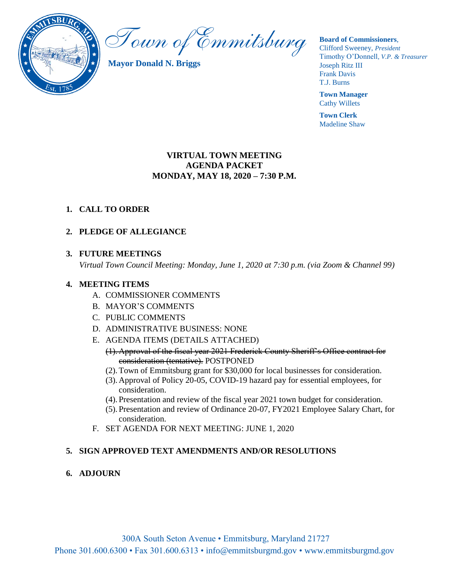

Town of Emmitsburg

**Mayor Donald N. Briggs**

**Board of Commissioners**,

Clifford Sweeney, *President* Timothy O'Donnell*, V.P. & Treasurer*  Joseph Ritz III Frank Davis T.J. Burns

**Town Manager** Cathy Willets

**Town Clerk** Madeline Shaw

### **VIRTUAL TOWN MEETING AGENDA PACKET MONDAY, MAY 18, 2020 – 7:30 P.M.**

### **1. CALL TO ORDER**

### **2. PLEDGE OF ALLEGIANCE**

### **3. FUTURE MEETINGS**

*Virtual Town Council Meeting: Monday, June 1, 2020 at 7:30 p.m. (via Zoom & Channel 99)*

### **4. MEETING ITEMS**

- A. COMMISSIONER COMMENTS
- B. MAYOR'S COMMENTS
- C. PUBLIC COMMENTS
- D. ADMINISTRATIVE BUSINESS: NONE
- E. AGENDA ITEMS (DETAILS ATTACHED)
	- (1). Approval of the fiscal year 2021 Frederick County Sheriff's Office contract for consideration (tentative). POSTPONED
	- (2).Town of Emmitsburg grant for \$30,000 for local businesses for consideration.
	- (3). Approval of Policy 20-05, COVID-19 hazard pay for essential employees, for consideration.
	- (4). Presentation and review of the fiscal year 2021 town budget for consideration.
	- (5). Presentation and review of Ordinance 20-07, FY2021 Employee Salary Chart, for consideration.
- F. SET AGENDA FOR NEXT MEETING: JUNE 1, 2020

### **5. SIGN APPROVED TEXT AMENDMENTS AND/OR RESOLUTIONS**

**6. ADJOURN**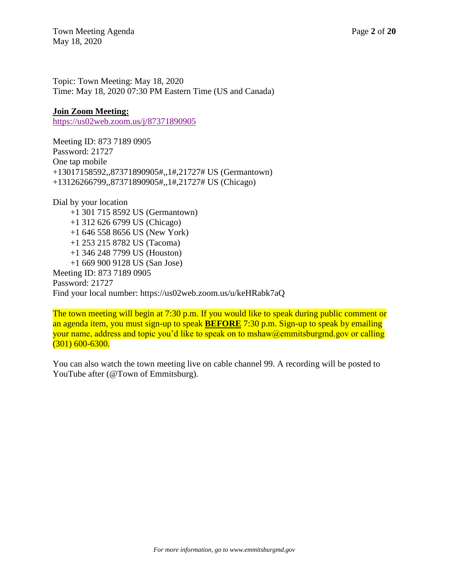Town Meeting Agenda Page 2 of 20 May 18, 2020

Topic: Town Meeting: May 18, 2020 Time: May 18, 2020 07:30 PM Eastern Time (US and Canada)

### **Join Zoom Meeting:**

<https://us02web.zoom.us/j/87371890905>

Meeting ID: 873 7189 0905 Password: 21727 One tap mobile +13017158592,,87371890905#,,1#,21727# US (Germantown) +13126266799,,87371890905#,,1#,21727# US (Chicago)

Dial by your location +1 301 715 8592 US (Germantown) +1 312 626 6799 US (Chicago) +1 646 558 8656 US (New York) +1 253 215 8782 US (Tacoma) +1 346 248 7799 US (Houston) +1 669 900 9128 US (San Jose) Meeting ID: 873 7189 0905 Password: 21727 Find your local number: https://us02web.zoom.us/u/keHRabk7aQ

The town meeting will begin at 7:30 p.m. If you would like to speak during public comment or an agenda item, you must sign-up to speak **BEFORE** 7:30 p.m. Sign-up to speak by emailing your name, address and topic you'd like to speak on to mshaw@emmitsburgmd.gov or calling (301) 600-6300.

You can also watch the town meeting live on cable channel 99. A recording will be posted to YouTube after (@Town of Emmitsburg).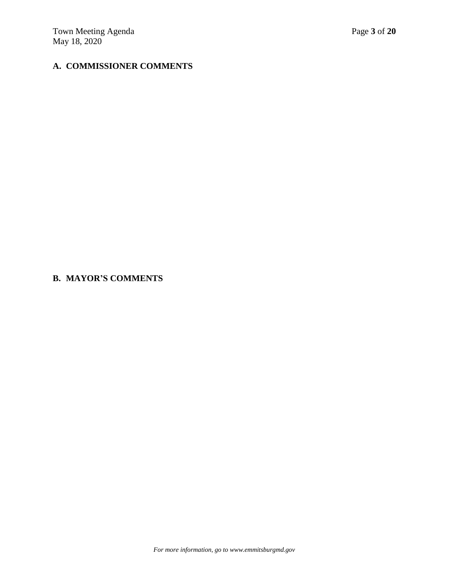# **A. COMMISSIONER COMMENTS**

### **B. MAYOR'S COMMENTS**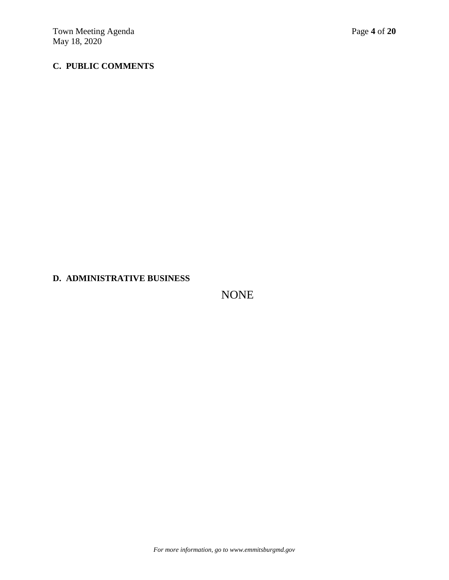# **C. PUBLIC COMMENTS**

### **D. ADMINISTRATIVE BUSINESS**

NONE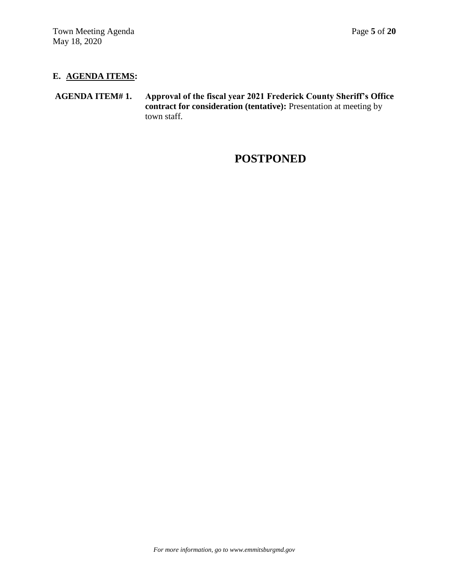### **E. AGENDA ITEMS:**

**AGENDA ITEM# 1. Approval of the fiscal year 2021 Frederick County Sheriff's Office contract for consideration (tentative):** Presentation at meeting by town staff.

# **POSTPONED**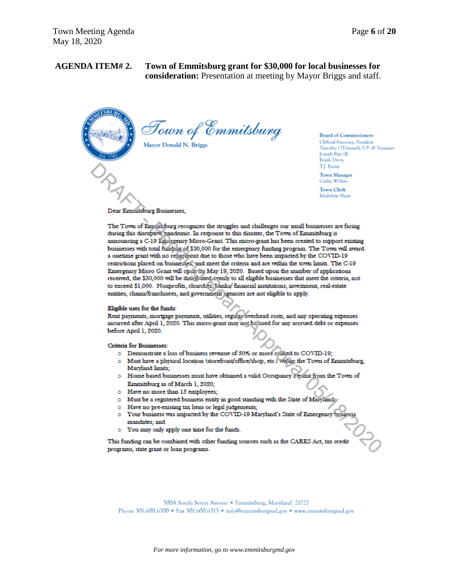# **AGENDA ITEM# 2. Town of Emmitsburg grant for \$30,000 for local businesses for**

**consideration:** Presentation at meeting by Mayor Briggs and staff.



Town of Emmitsburg Mayor Donald N. Briggs

**Board of Commissioners** 

Clifford Sweeney, President Timothy O'Donnell, V.P. & Treasurer Joseph Ritz III Frank Davis T.J. Burns

**Town Manager** Cathy Willets

**Town Clerk** Madeline Shaw

Dear Emmitsburg Businesses,

The Town of Emrinchurg recognizes the struggles and challenges our small businesses are facing during this disruptive pandemic. In response to this disaster, the Town of Emmitsburg is announcing a C-19 Linergency Micro-Grant. This micro-grant has been created to support existing businesses with total funding of \$30,000 for the emergency funding program. The Town will award a onetime grant with no repayment due to those who have been impacted by the COVID-19 restrictions placed on businesses, and meet the criteria and are within the town limits. The C-19 Emergency Micro Grant will open on May 19, 2020. Based upon the number of applications received, the \$30,000 will be distributed evenly to all eligible businesses that meet the criteria, not to exceed \$1,000. Nonprofits, churches, banks/ financial institutions, investment, real-estate entities, chains/franchisees, and government agencies are not eligible to apply.

#### Eligible uses for the funds:

Rent payments, mortgage payments, utilities, regular overhead costs, and any operating expenses incurred after April 1, 2020. This micro-grant may not be used for any accrued debt or expenses before April 1, 2020.

Criteria for Businesses:

- o Demonstrate a loss of business revenue of 50% or more related to COVID-19;
- o Must have a physical location (storefront/office/shop, etc.) within the Town of Emmitsburg, Maryland limits;
- o Home based businesses must have obtained a valid Occupancy Fermit from the Town of Emmitsburg as of March 1, 2020;
- o Have no more than 15 employees;
- o Must be a registered business entity in good standing with the State of Maryland:
- o Have no pre-existing tax liens or legal judgements;
- o Your business was impacted by the COVID-19 Maryland's State of Emergency bus mandates; and
- o You may only apply one time for the funds.

This funding can be combined with other funding sources such as the CARES Act, tax credit programs, state grant or loan programs.

300A South Seton Avenue . Emmitsburg, Maryland 21727 Phone 301.600.6300 • Fax 301.600.6313 • info@emmitsburgmd.gov • www.emmitsburgmd.gov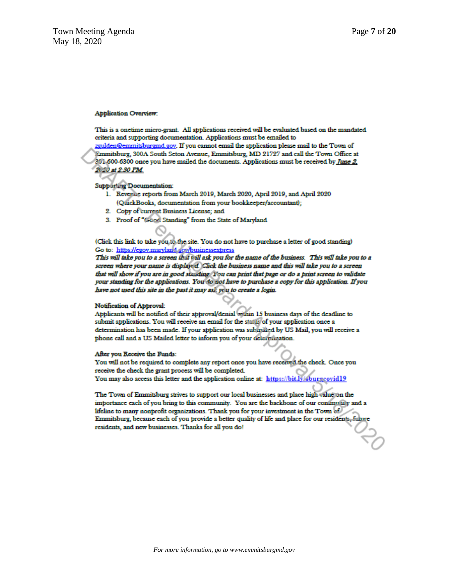#### **Application Overview:**

This is a onetime micro-grant. All applications received will be evaluated based on the mandated criteria and supporting documentation. Applications must be emailed to

zgulden@emmitsburgmd.gov. If you cannot email the application please mail to the Town of Emmitsburg, 300A South Seton Avenue, Emmitsburg, MD 21727 and call the Town Office at 301-600-6300 once you have mailed the documents. Applications must be received by June 2, 2020 at 2:30 PM.

#### **Supporting Documentation:**

- 1. Revenue reports from March 2019, March 2020, April 2019, and April 2020 (QuickBooks, documentation from your bookkeeper/accountant);
- 2. Copy of current Business License; and
- 3. Proof of "Good Standing" from the State of Maryland

(Click this link to take you to the site. You do not have to purchase a letter of good standing) Go to: https://egov.maryland.gov/businessexpress

This will take you to a screen that will ask you for the name of the business. This will take you to a screen where your name is displayed. Click the business name and this will take you to a screen that will show if you are in good standing. You can print that page or do a print screen to validate your standing for the applications. You do not have to purchase a copy for this application. If you have not used this site in the past it may asi: you to create a login.

#### Notification of Approval:

Applicants will be notified of their approval/denial within 15 business days of the deadline to submit applications. You will receive an email for the status of your application once a determination has been made. If your application was submitted by US Mail, you will receive a phone call and a US Mailed letter to inform you of your determination.

#### After you Receive the Funds:

You will not be required to complete any report once you have received the check. Once you receive the check the grant process will be completed. You may also access this letter and the application online at: https://bit.ly/eburgcovid19

The Town of Emmitsburg strives to support our local businesses and place high value on the importance each of you bring to this community. You are the backbone of our community and a lifeline to many nonprofit organizations. Thank you for your investment in the Town of Emmitsburg, because each of you provide a better quality of life and place for our residents, fulture residents, and new businesses. Thanks for all you do!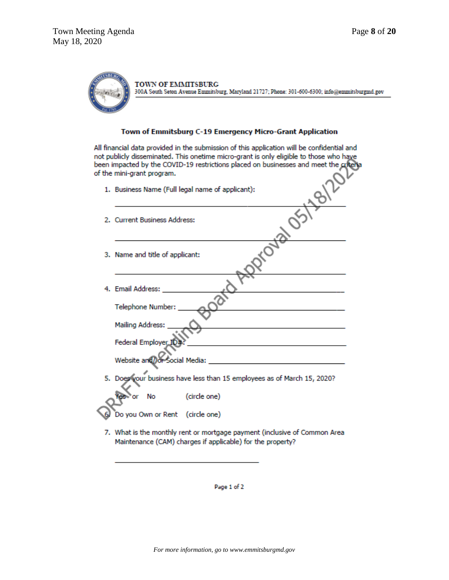

#### Town of Emmitsburg C-19 Emergency Micro-Grant Application

All financial data provided in the submission of this application will be confidential and not publicly disseminated. This onetime micro-grant is only eligible to those who have been impacted by the COVID-19 restrictions placed on businesses and meet the criteria of the mini-grant program.

| 1. Business Name (Full legal name of applicant):                        |
|-------------------------------------------------------------------------|
| 2. Current Business Address:                                            |
| 3. Name and title of applicant:                                         |
| 4. Email Address:                                                       |
| Telephone Number:                                                       |
| <b>Mailing Address:</b>                                                 |
| Federal Employer ID:                                                    |
|                                                                         |
| 5. Does your business have less than 15 employees as of March 15, 2020? |
| (circle one)<br>No                                                      |
| Do you Own or Rent (circle one)                                         |

7. What is the monthly rent or mortgage payment (inclusive of Common Area Maintenance (CAM) charges if applicable) for the property?

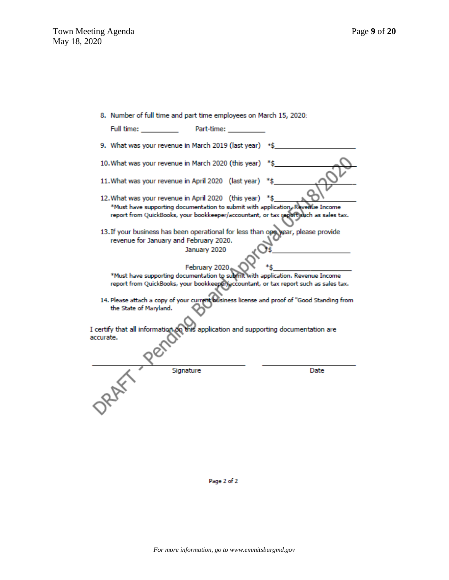|  |  |  |  |  |  | 8. Number of full time and part time employees on March 15, 2020: |  |  |  |  |  |
|--|--|--|--|--|--|-------------------------------------------------------------------|--|--|--|--|--|
|--|--|--|--|--|--|-------------------------------------------------------------------|--|--|--|--|--|

| Full time:             | Part-time:                                              |                                                                                                                                                                        |
|------------------------|---------------------------------------------------------|------------------------------------------------------------------------------------------------------------------------------------------------------------------------|
|                        | 9. What was your revenue in March 2019 (last year) *\$  |                                                                                                                                                                        |
|                        | 10. What was your revenue in March 2020 (this year) *\$ |                                                                                                                                                                        |
|                        | 11. What was your revenue in April 2020 (last year) *\$ |                                                                                                                                                                        |
|                        | 12. What was your revenue in April 2020 (this year) *\$ | *Must have supporting documentation to submit with application. Revenue Income<br>report from QuickBooks, your bookkeeper/accountant, or tax report such as sales tax. |
|                        | revenue for January and February 2020.<br>January 2020  | 13. If your business has been operational for less than one year, please provide                                                                                       |
|                        | February 2020                                           |                                                                                                                                                                        |
|                        |                                                         | *Must have supporting documentation to submit with application. Revenue Income                                                                                         |
|                        |                                                         | report from QuickBooks, your bookkeeper/accountant, or tax report such as sales tax.                                                                                   |
| the State of Maryland. |                                                         | 14. Please attach a copy of your current business license and proof of "Good Standing from                                                                             |
|                        |                                                         |                                                                                                                                                                        |
| accurate.              |                                                         | I certify that all information on this application and supporting documentation are                                                                                    |
|                        | Signature                                               | Date                                                                                                                                                                   |
|                        |                                                         |                                                                                                                                                                        |

Page 2 of 2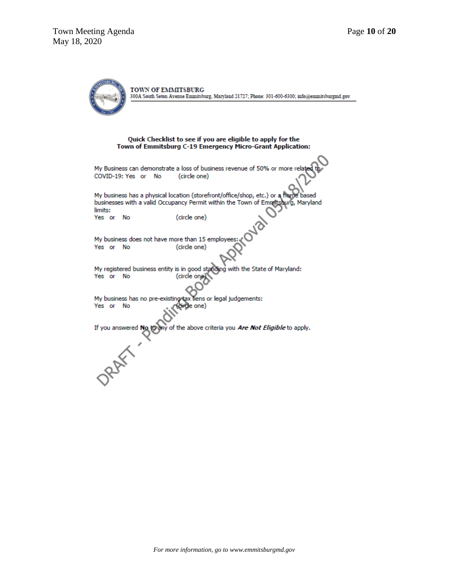TOWN OF EMMITSBURG 300A South Seton Avenue Emmitsburg, Maryland 21727; Phone: 301-600-6300; info@emmitsburgmd.gov Quick Checklist to see if you are eligible to apply for the Town of Emmitsburg C-19 Emergency Micro-Grant Application: My Business can demonstrate a loss of business revenue of 50% or more rel COVID-19: Yes or No (circle one) My business has a physical location (storefront/office/shop, etc.) or a hand<br>businesses with a valid Occupancy Permit within the Town of Emmitsburg, based aurg, Maryland limits: (circle one) Yes or No My business does not have more than 15 employe Yes or No (circle one) My registered business entity is in good standing with the State of Maryland: Yes or No (circle one) My business has no pre-existing tax liens or legal judgements: Yes or No rde one) If you answered No to ny of the above criteria you Are Not Eligible to apply. **ORAWY**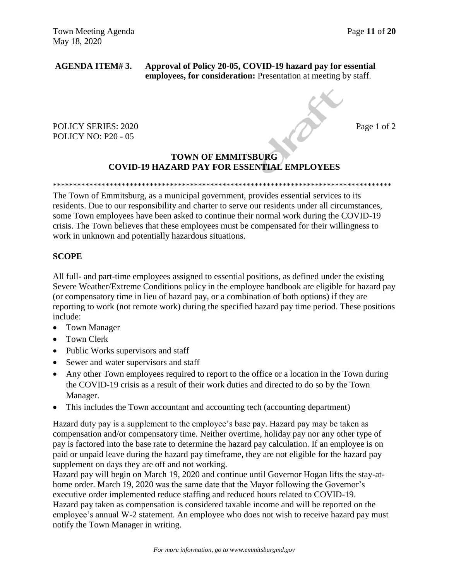**AGENDA ITEM# 3. Approval of Policy 20-05, COVID-19 hazard pay for essential employees, for consideration:** Presentation at meeting by staff.

POLICY SERIES: 2020 Page 1 of 2 POLICY NO: P20 - 05

### **TOWN OF EMMITSBURG COVID-19 HAZARD PAY FOR ESSENTIAL EMPLOYEES**

\*\*\*\*\*\*\*\*\*\*\*\*\*\*\*\*\*\*\*\*\*\*\*\*\*\*\*\*\*\*\*\*\*\*\*\*\*\*\*\*\*\*\*\*\*\*\*\*\*\*\*\*\*\*\*\*\*\*\*\*\*\*\*\*\*\*\*\*\*\*\*\*\*\*\*\*\*\*\*\*\*\*\*\*

The Town of Emmitsburg, as a municipal government, provides essential services to its residents. Due to our responsibility and charter to serve our residents under all circumstances, some Town employees have been asked to continue their normal work during the COVID-19 crisis. The Town believes that these employees must be compensated for their willingness to work in unknown and potentially hazardous situations.

### **SCOPE**

All full- and part-time employees assigned to essential positions, as defined under the existing Severe Weather/Extreme Conditions policy in the employee handbook are eligible for hazard pay (or compensatory time in lieu of hazard pay, or a combination of both options) if they are reporting to work (not remote work) during the specified hazard pay time period. These positions include:

- Town Manager
- Town Clerk
- Public Works supervisors and staff
- Sewer and water supervisors and staff
- Any other Town employees required to report to the office or a location in the Town during the COVID-19 crisis as a result of their work duties and directed to do so by the Town Manager.
- This includes the Town accountant and accounting tech (accounting department)

Hazard duty pay is a supplement to the employee's base pay. Hazard pay may be taken as compensation and/or compensatory time. Neither overtime, holiday pay nor any other type of pay is factored into the base rate to determine the hazard pay calculation. If an employee is on paid or unpaid leave during the hazard pay timeframe, they are not eligible for the hazard pay supplement on days they are off and not working.

Hazard pay will begin on March 19, 2020 and continue until Governor Hogan lifts the stay-athome order. March 19, 2020 was the same date that the Mayor following the Governor's executive order implemented reduce staffing and reduced hours related to COVID-19. Hazard pay taken as compensation is considered taxable income and will be reported on the employee's annual W-2 statement. An employee who does not wish to receive hazard pay must notify the Town Manager in writing.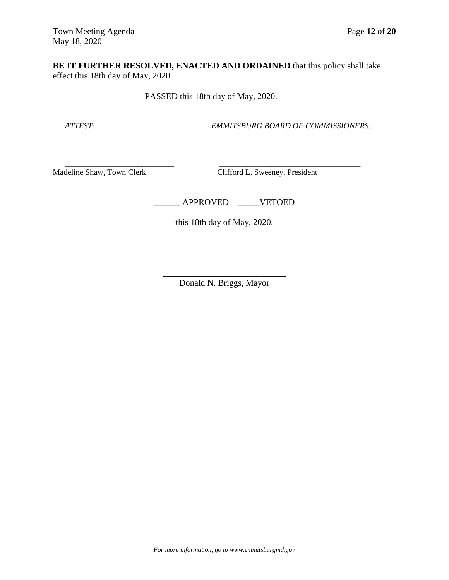**BE IT FURTHER RESOLVED, ENACTED AND ORDAINED** that this policy shall take effect this 18th day of May, 2020.

PASSED this 18th day of May, 2020.

 $\overline{\phantom{a}}$  , and the contribution of the contribution of  $\overline{\phantom{a}}$  , and  $\overline{\phantom{a}}$  , and  $\overline{\phantom{a}}$  , and  $\overline{\phantom{a}}$  , and  $\overline{\phantom{a}}$  , and  $\overline{\phantom{a}}$  , and  $\overline{\phantom{a}}$  , and  $\overline{\phantom{a}}$  , and  $\overline{\phantom{a}}$  , and

 *ATTEST: EMMITSBURG BOARD OF COMMISSIONERS:*

Madeline Shaw, Town Clerk Clifford L. Sweeney, President

\_\_\_\_\_\_ APPROVED \_\_\_\_\_VETOED

this 18th day of May, 2020.

\_\_\_\_\_\_\_\_\_\_\_\_\_\_\_\_\_\_\_\_\_\_\_\_\_\_\_\_ Donald N. Briggs, Mayor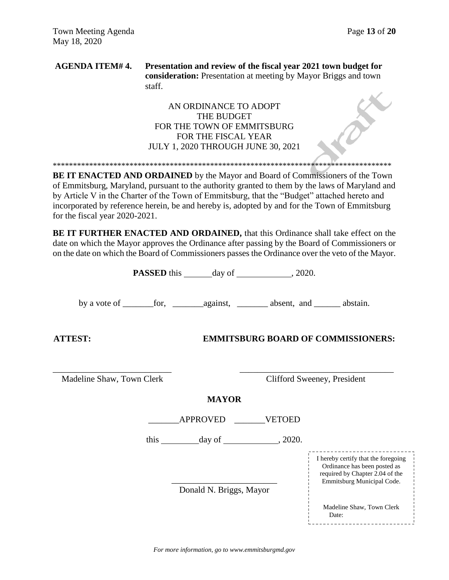**AGENDA ITEM# 4. Presentation and review of the fiscal year 2021 town budget for consideration:** Presentation at meeting by Mayor Briggs and town staff.

### AN ORDINANCE TO ADOPT THE BUDGET FOR THE TOWN OF EMMITSBURG FOR THE FISCAL YEAR JULY 1, 2020 THROUGH JUNE 30, 2021

\*\*\*\*\*\*\*\*\*\*\*\*\*\*\*\*\*\*\*\*\*\*\*\*\*\*\*\*\*\*\*\*\*\*\*\*\*\*\*\*\*\*\*\*\*\*\*\*\*\*\*\*\*\*\*\*\*\*\*\*\*\*\*\*\*\*\*\*\*\*\*\*\*\*\*\*\*\*\*\*\*\*\*\*

**BE IT ENACTED AND ORDAINED** by the Mayor and Board of Commissioners of the Town of Emmitsburg, Maryland, pursuant to the authority granted to them by the laws of Maryland and by Article V in the Charter of the Town of Emmitsburg, that the "Budget" attached hereto and incorporated by reference herein, be and hereby is, adopted by and for the Town of Emmitsburg for the fiscal year 2020-2021.

**BE IT FURTHER ENACTED AND ORDAINED,** that this Ordinance shall take effect on the date on which the Mayor approves the Ordinance after passing by the Board of Commissioners or on the date on which the Board of Commissioners passes the Ordinance over the veto of the Mayor.

|                           |  | <b>PASSED</b> this _______ day of ______________, 2020. |  |                                                                                                                                      |
|---------------------------|--|---------------------------------------------------------|--|--------------------------------------------------------------------------------------------------------------------------------------|
|                           |  |                                                         |  |                                                                                                                                      |
| <b>ATTEST:</b>            |  |                                                         |  | <b>EMMITSBURG BOARD OF COMMISSIONERS:</b>                                                                                            |
| Madeline Shaw, Town Clerk |  |                                                         |  | Clifford Sweeney, President                                                                                                          |
|                           |  | <b>MAYOR</b>                                            |  |                                                                                                                                      |
|                           |  | APPROVED VETOED                                         |  |                                                                                                                                      |
|                           |  | this $\_\_\_\_\_\_\$ day of $\_\_\_\_\_\_\$ , 2020.     |  |                                                                                                                                      |
|                           |  | Donald N. Briggs, Mayor                                 |  | I hereby certify that the foregoing<br>Ordinance has been posted as<br>required by Chapter 2.04 of the<br>Emmitsburg Municipal Code. |
|                           |  |                                                         |  | Madeline Shaw, Town Clerk<br>Date:                                                                                                   |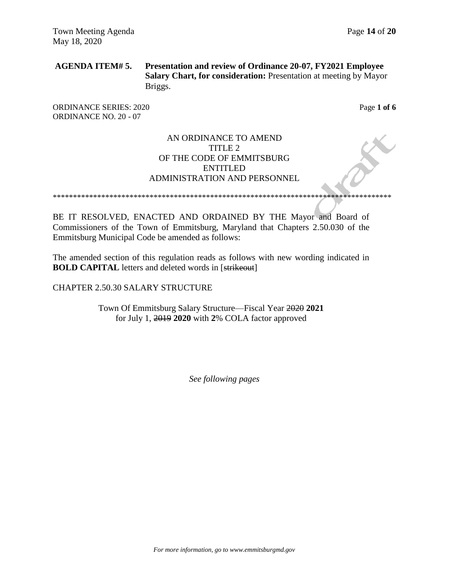### **AGENDA ITEM# 5. Presentation and review of Ordinance 20-07, FY2021 Employee Salary Chart, for consideration:** Presentation at meeting by Mayor Briggs.

ORDINANCE SERIES: 2020 **Page 1 of 6** ORDINANCE NO. 20 - 07

### AN ORDINANCE TO AMEND TITLE 2 OF THE CODE OF EMMITSBURG ENTITLED ADMINISTRATION AND PERSONNEL

\*\*\*\*\*\*\*\*\*\*\*\*\*\*\*\*\*\*\*\*\*\*\*\*\*\*\*\*\*\*\*\*\*\*\*\*\*\*\*\*\*\*\*\*\*\*\*\*\*\*\*\*\*\*\*\*\*\*\*\*\*\*\*\*\*\*\*\*\*\*\*\*\*\*\*\*\*\*\*\*\*\*\*\*

BE IT RESOLVED, ENACTED AND ORDAINED BY THE Mayor and Board of Commissioners of the Town of Emmitsburg, Maryland that Chapters 2.50.030 of the Emmitsburg Municipal Code be amended as follows:

The amended section of this regulation reads as follows with new wording indicated in **BOLD CAPITAL** letters and deleted words in [strikeout]

### CHAPTER 2.50.30 SALARY STRUCTURE

Town Of Emmitsburg Salary Structure—Fiscal Year 2020 **2021** for July 1, 2019 **2020** with **2**% COLA factor approved

*See following pages*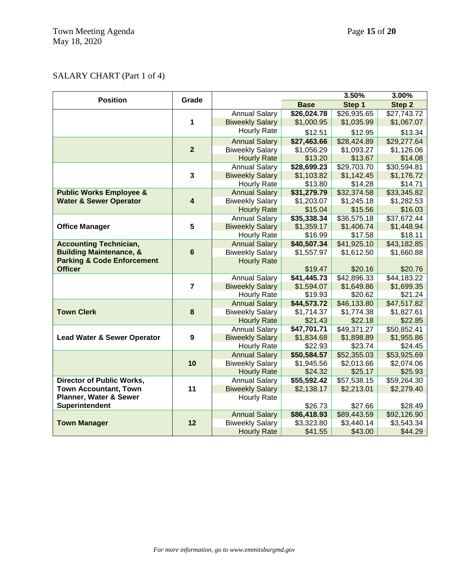### SALARY CHART (Part 1 of 4)

| <b>Position</b>                        | Grade                   |                        |             | 3.50%       | 3.00%       |
|----------------------------------------|-------------------------|------------------------|-------------|-------------|-------------|
|                                        |                         |                        | <b>Base</b> | Step 1      | Step 2      |
|                                        |                         | <b>Annual Salary</b>   | \$26,024.78 | \$26,935.65 | \$27,743.72 |
|                                        | 1                       | <b>Biweekly Salary</b> | \$1,000.95  | \$1,035.99  | \$1,067.07  |
|                                        |                         | Hourly Rate            | \$12.51     | \$12.95     | \$13.34     |
|                                        |                         | <b>Annual Salary</b>   | \$27,463.66 | \$28,424.89 | \$29,277.64 |
|                                        | $\overline{2}$          | <b>Biweekly Salary</b> | \$1,056.29  | \$1,093.27  | \$1,126.06  |
|                                        |                         | <b>Hourly Rate</b>     | \$13.20     | \$13.67     | \$14.08     |
|                                        |                         | <b>Annual Salary</b>   | \$28,699.23 | \$29,703.70 | \$30,594.81 |
|                                        | 3                       | <b>Biweekly Salary</b> | \$1,103.82  | \$1,142.45  | \$1,176.72  |
|                                        |                         | Hourly Rate            | \$13.80     | \$14.28     | \$14.71     |
| <b>Public Works Employee &amp;</b>     |                         | <b>Annual Salary</b>   | \$31,279.79 | \$32,374.58 | \$33,345.82 |
| <b>Water &amp; Sewer Operator</b>      | $\overline{\mathbf{4}}$ | <b>Biweekly Salary</b> | \$1,203.07  | \$1,245.18  | \$1,282.53  |
|                                        |                         | <b>Hourly Rate</b>     | \$15.04     | \$15.56     | \$16.03     |
|                                        |                         | <b>Annual Salary</b>   | \$35,338.34 | \$36,575.18 | \$37,672.44 |
| <b>Office Manager</b>                  | 5                       | <b>Biweekly Salary</b> | \$1,359.17  | \$1,406.74  | \$1,448.94  |
|                                        |                         | Hourly Rate            | \$16.99     | \$17.58     | \$18.11     |
| <b>Accounting Technician,</b>          |                         | <b>Annual Salary</b>   | \$40,507.34 | \$41,925.10 | \$43,182.85 |
| <b>Building Maintenance, &amp;</b>     | $6\phantom{a}$          | <b>Biweekly Salary</b> | \$1,557.97  | \$1,612.50  | \$1,660.88  |
| <b>Parking &amp; Code Enforcement</b>  |                         | <b>Hourly Rate</b>     |             |             |             |
| <b>Officer</b>                         |                         |                        | \$19.47     | \$20.16     | \$20.76     |
|                                        |                         | <b>Annual Salary</b>   | \$41,445.73 | \$42,896.33 | \$44,183.22 |
|                                        | $\overline{7}$          | <b>Biweekly Salary</b> | \$1,594.07  | \$1,649.86  | \$1,699.35  |
|                                        |                         | <b>Hourly Rate</b>     | \$19.93     | \$20.62     | \$21.24     |
|                                        |                         | <b>Annual Salary</b>   | \$44,573.72 | \$46,133.80 | \$47,517.82 |
| <b>Town Clerk</b>                      | 8                       | <b>Biweekly Salary</b> | \$1,714.37  | \$1,774.38  | \$1,827.61  |
|                                        |                         | <b>Hourly Rate</b>     | \$21.43     | \$22.18     | \$22.85     |
|                                        |                         | <b>Annual Salary</b>   | \$47,701.71 | \$49,371.27 | \$50,852.41 |
| <b>Lead Water &amp; Sewer Operator</b> | 9                       | <b>Biweekly Salary</b> | \$1,834.68  | \$1,898.89  | \$1,955.86  |
|                                        |                         | Hourly Rate            | \$22.93     | \$23.74     | \$24.45     |
|                                        |                         | <b>Annual Salary</b>   | \$50,584.57 | \$52,355.03 | \$53,925.69 |
|                                        | 10                      | <b>Biweekly Salary</b> | \$1,945.56  | \$2,013.66  | \$2,074.06  |
|                                        |                         | <b>Hourly Rate</b>     | \$24.32     | \$25.17     | \$25.93     |
| <b>Director of Public Works,</b>       |                         | <b>Annual Salary</b>   | \$55,592.42 | \$57,538.15 | \$59,264.30 |
| <b>Town Accountant, Town</b>           | 11                      | <b>Biweekly Salary</b> | \$2,138.17  | \$2,213.01  | \$2,279.40  |
| Planner, Water & Sewer                 |                         | <b>Hourly Rate</b>     |             |             |             |
| Superintendent                         |                         |                        | \$26.73     | \$27.66     | \$28.49     |
|                                        |                         | <b>Annual Salary</b>   | \$86,418.93 | \$89,443.59 | \$92,126.90 |
| <b>Town Manager</b>                    | 12                      | <b>Biweekly Salary</b> | \$3,323.80  | \$3,440.14  | \$3,543.34  |
|                                        |                         | <b>Hourly Rate</b>     | \$41.55     | \$43.00     | \$44.29     |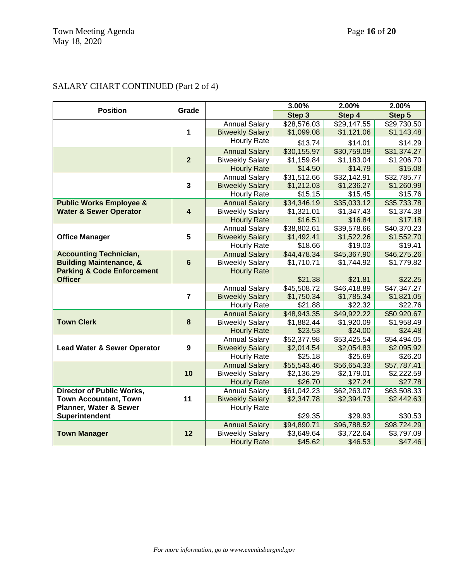## SALARY CHART CONTINUED (Part 2 of 4)

| Step 3<br>Step 5<br>Step 4<br><b>Annual Salary</b><br>\$28,576.03<br>\$29,147.55<br>\$29,730.50<br>1<br>\$1,099.08<br>\$1,121.06<br><b>Biweekly Salary</b><br>\$1,143.48<br>Hourly Rate<br>\$13.74<br>\$14.01<br>\$14.29<br>\$30,155.97<br>\$30,759.09<br>\$31,374.27<br><b>Annual Salary</b><br>$\overline{2}$<br>\$1,159.84<br>\$1,183.04<br>\$1,206.70<br><b>Biweekly Salary</b><br>\$14.50<br>\$14.79<br>\$15.08<br><b>Hourly Rate</b><br><b>Annual Salary</b><br>\$31,512.66<br>\$32,142.91<br>\$32,785.77<br>$\mathbf{3}$<br>\$1,236.27<br>\$1,260.99<br><b>Biweekly Salary</b><br>\$1,212.03<br><b>Hourly Rate</b><br>\$15.15<br>\$15.45<br>\$15.76<br>\$34,346.19<br>\$35,033.12<br>\$35,733.78<br><b>Public Works Employee &amp;</b><br><b>Annual Salary</b><br>$\overline{\mathbf{4}}$<br><b>Water &amp; Sewer Operator</b><br>\$1,321.01<br>\$1,347.43<br>\$1,374.38<br><b>Biweekly Salary</b><br>\$16.51<br>\$16.84<br>\$17.18<br><b>Hourly Rate</b><br><b>Annual Salary</b><br>\$38,802.61<br>\$39,578.66<br>\$40,370.23<br>5<br><b>Office Manager</b><br><b>Biweekly Salary</b><br>\$1,492.41<br>\$1,522.26<br>\$1,552.70<br>\$18.66<br>\$19.41<br><b>Hourly Rate</b><br>\$19.03<br>\$44,478.34<br>\$45,367.90<br>\$46,275.26<br><b>Accounting Technician,</b><br><b>Annual Salary</b><br>$6\phantom{a}$<br><b>Building Maintenance, &amp;</b><br><b>Biweekly Salary</b><br>\$1,710.71<br>\$1,744.92<br>\$1,779.82<br><b>Parking &amp; Code Enforcement</b><br><b>Hourly Rate</b><br><b>Officer</b><br>\$22.25<br>\$21.38<br>\$21.81<br><b>Annual Salary</b><br>\$45,508.72<br>\$46,418.89<br>\$47,347.27<br>$\overline{7}$<br>\$1,750.34<br>\$1,785.34<br>\$1,821.05<br><b>Biweekly Salary</b><br>\$21.88<br>\$22.32<br>\$22.76<br><b>Hourly Rate</b><br>\$48,943.35<br>\$49,922.22<br>\$50,920.67<br><b>Annual Salary</b><br>8<br><b>Town Clerk</b><br>\$1,882.44<br>\$1,920.09<br>\$1,958.49<br><b>Biweekly Salary</b><br>\$23.53<br>\$24.00<br>\$24.48<br><b>Hourly Rate</b><br>\$52,377.98<br>\$53,425.54<br><b>Annual Salary</b><br>\$54,494.05<br>9<br><b>Biweekly Salary</b><br>\$2,014.54<br>\$2,054.83<br>\$2,095.92<br><b>Lead Water &amp; Sewer Operator</b><br>\$25.18<br>\$25.69<br>\$26.20<br><b>Hourly Rate</b><br>\$56,654.33<br><b>Annual Salary</b><br>\$55,543.46<br>\$57,787.41 | <b>Position</b> | Grade | 3.00% | 2.00% | 2.00% |
|--------------------------------------------------------------------------------------------------------------------------------------------------------------------------------------------------------------------------------------------------------------------------------------------------------------------------------------------------------------------------------------------------------------------------------------------------------------------------------------------------------------------------------------------------------------------------------------------------------------------------------------------------------------------------------------------------------------------------------------------------------------------------------------------------------------------------------------------------------------------------------------------------------------------------------------------------------------------------------------------------------------------------------------------------------------------------------------------------------------------------------------------------------------------------------------------------------------------------------------------------------------------------------------------------------------------------------------------------------------------------------------------------------------------------------------------------------------------------------------------------------------------------------------------------------------------------------------------------------------------------------------------------------------------------------------------------------------------------------------------------------------------------------------------------------------------------------------------------------------------------------------------------------------------------------------------------------------------------------------------------------------------------------------------------------------------------------------------------------------------------------------------------------------------------------------------------------------------------------------------------------------------------------------------------------------------|-----------------|-------|-------|-------|-------|
|                                                                                                                                                                                                                                                                                                                                                                                                                                                                                                                                                                                                                                                                                                                                                                                                                                                                                                                                                                                                                                                                                                                                                                                                                                                                                                                                                                                                                                                                                                                                                                                                                                                                                                                                                                                                                                                                                                                                                                                                                                                                                                                                                                                                                                                                                                                    |                 |       |       |       |       |
|                                                                                                                                                                                                                                                                                                                                                                                                                                                                                                                                                                                                                                                                                                                                                                                                                                                                                                                                                                                                                                                                                                                                                                                                                                                                                                                                                                                                                                                                                                                                                                                                                                                                                                                                                                                                                                                                                                                                                                                                                                                                                                                                                                                                                                                                                                                    |                 |       |       |       |       |
|                                                                                                                                                                                                                                                                                                                                                                                                                                                                                                                                                                                                                                                                                                                                                                                                                                                                                                                                                                                                                                                                                                                                                                                                                                                                                                                                                                                                                                                                                                                                                                                                                                                                                                                                                                                                                                                                                                                                                                                                                                                                                                                                                                                                                                                                                                                    |                 |       |       |       |       |
|                                                                                                                                                                                                                                                                                                                                                                                                                                                                                                                                                                                                                                                                                                                                                                                                                                                                                                                                                                                                                                                                                                                                                                                                                                                                                                                                                                                                                                                                                                                                                                                                                                                                                                                                                                                                                                                                                                                                                                                                                                                                                                                                                                                                                                                                                                                    |                 |       |       |       |       |
|                                                                                                                                                                                                                                                                                                                                                                                                                                                                                                                                                                                                                                                                                                                                                                                                                                                                                                                                                                                                                                                                                                                                                                                                                                                                                                                                                                                                                                                                                                                                                                                                                                                                                                                                                                                                                                                                                                                                                                                                                                                                                                                                                                                                                                                                                                                    |                 |       |       |       |       |
|                                                                                                                                                                                                                                                                                                                                                                                                                                                                                                                                                                                                                                                                                                                                                                                                                                                                                                                                                                                                                                                                                                                                                                                                                                                                                                                                                                                                                                                                                                                                                                                                                                                                                                                                                                                                                                                                                                                                                                                                                                                                                                                                                                                                                                                                                                                    |                 |       |       |       |       |
|                                                                                                                                                                                                                                                                                                                                                                                                                                                                                                                                                                                                                                                                                                                                                                                                                                                                                                                                                                                                                                                                                                                                                                                                                                                                                                                                                                                                                                                                                                                                                                                                                                                                                                                                                                                                                                                                                                                                                                                                                                                                                                                                                                                                                                                                                                                    |                 |       |       |       |       |
|                                                                                                                                                                                                                                                                                                                                                                                                                                                                                                                                                                                                                                                                                                                                                                                                                                                                                                                                                                                                                                                                                                                                                                                                                                                                                                                                                                                                                                                                                                                                                                                                                                                                                                                                                                                                                                                                                                                                                                                                                                                                                                                                                                                                                                                                                                                    |                 |       |       |       |       |
|                                                                                                                                                                                                                                                                                                                                                                                                                                                                                                                                                                                                                                                                                                                                                                                                                                                                                                                                                                                                                                                                                                                                                                                                                                                                                                                                                                                                                                                                                                                                                                                                                                                                                                                                                                                                                                                                                                                                                                                                                                                                                                                                                                                                                                                                                                                    |                 |       |       |       |       |
|                                                                                                                                                                                                                                                                                                                                                                                                                                                                                                                                                                                                                                                                                                                                                                                                                                                                                                                                                                                                                                                                                                                                                                                                                                                                                                                                                                                                                                                                                                                                                                                                                                                                                                                                                                                                                                                                                                                                                                                                                                                                                                                                                                                                                                                                                                                    |                 |       |       |       |       |
|                                                                                                                                                                                                                                                                                                                                                                                                                                                                                                                                                                                                                                                                                                                                                                                                                                                                                                                                                                                                                                                                                                                                                                                                                                                                                                                                                                                                                                                                                                                                                                                                                                                                                                                                                                                                                                                                                                                                                                                                                                                                                                                                                                                                                                                                                                                    |                 |       |       |       |       |
|                                                                                                                                                                                                                                                                                                                                                                                                                                                                                                                                                                                                                                                                                                                                                                                                                                                                                                                                                                                                                                                                                                                                                                                                                                                                                                                                                                                                                                                                                                                                                                                                                                                                                                                                                                                                                                                                                                                                                                                                                                                                                                                                                                                                                                                                                                                    |                 |       |       |       |       |
|                                                                                                                                                                                                                                                                                                                                                                                                                                                                                                                                                                                                                                                                                                                                                                                                                                                                                                                                                                                                                                                                                                                                                                                                                                                                                                                                                                                                                                                                                                                                                                                                                                                                                                                                                                                                                                                                                                                                                                                                                                                                                                                                                                                                                                                                                                                    |                 |       |       |       |       |
|                                                                                                                                                                                                                                                                                                                                                                                                                                                                                                                                                                                                                                                                                                                                                                                                                                                                                                                                                                                                                                                                                                                                                                                                                                                                                                                                                                                                                                                                                                                                                                                                                                                                                                                                                                                                                                                                                                                                                                                                                                                                                                                                                                                                                                                                                                                    |                 |       |       |       |       |
|                                                                                                                                                                                                                                                                                                                                                                                                                                                                                                                                                                                                                                                                                                                                                                                                                                                                                                                                                                                                                                                                                                                                                                                                                                                                                                                                                                                                                                                                                                                                                                                                                                                                                                                                                                                                                                                                                                                                                                                                                                                                                                                                                                                                                                                                                                                    |                 |       |       |       |       |
|                                                                                                                                                                                                                                                                                                                                                                                                                                                                                                                                                                                                                                                                                                                                                                                                                                                                                                                                                                                                                                                                                                                                                                                                                                                                                                                                                                                                                                                                                                                                                                                                                                                                                                                                                                                                                                                                                                                                                                                                                                                                                                                                                                                                                                                                                                                    |                 |       |       |       |       |
|                                                                                                                                                                                                                                                                                                                                                                                                                                                                                                                                                                                                                                                                                                                                                                                                                                                                                                                                                                                                                                                                                                                                                                                                                                                                                                                                                                                                                                                                                                                                                                                                                                                                                                                                                                                                                                                                                                                                                                                                                                                                                                                                                                                                                                                                                                                    |                 |       |       |       |       |
|                                                                                                                                                                                                                                                                                                                                                                                                                                                                                                                                                                                                                                                                                                                                                                                                                                                                                                                                                                                                                                                                                                                                                                                                                                                                                                                                                                                                                                                                                                                                                                                                                                                                                                                                                                                                                                                                                                                                                                                                                                                                                                                                                                                                                                                                                                                    |                 |       |       |       |       |
|                                                                                                                                                                                                                                                                                                                                                                                                                                                                                                                                                                                                                                                                                                                                                                                                                                                                                                                                                                                                                                                                                                                                                                                                                                                                                                                                                                                                                                                                                                                                                                                                                                                                                                                                                                                                                                                                                                                                                                                                                                                                                                                                                                                                                                                                                                                    |                 |       |       |       |       |
|                                                                                                                                                                                                                                                                                                                                                                                                                                                                                                                                                                                                                                                                                                                                                                                                                                                                                                                                                                                                                                                                                                                                                                                                                                                                                                                                                                                                                                                                                                                                                                                                                                                                                                                                                                                                                                                                                                                                                                                                                                                                                                                                                                                                                                                                                                                    |                 |       |       |       |       |
|                                                                                                                                                                                                                                                                                                                                                                                                                                                                                                                                                                                                                                                                                                                                                                                                                                                                                                                                                                                                                                                                                                                                                                                                                                                                                                                                                                                                                                                                                                                                                                                                                                                                                                                                                                                                                                                                                                                                                                                                                                                                                                                                                                                                                                                                                                                    |                 |       |       |       |       |
|                                                                                                                                                                                                                                                                                                                                                                                                                                                                                                                                                                                                                                                                                                                                                                                                                                                                                                                                                                                                                                                                                                                                                                                                                                                                                                                                                                                                                                                                                                                                                                                                                                                                                                                                                                                                                                                                                                                                                                                                                                                                                                                                                                                                                                                                                                                    |                 |       |       |       |       |
|                                                                                                                                                                                                                                                                                                                                                                                                                                                                                                                                                                                                                                                                                                                                                                                                                                                                                                                                                                                                                                                                                                                                                                                                                                                                                                                                                                                                                                                                                                                                                                                                                                                                                                                                                                                                                                                                                                                                                                                                                                                                                                                                                                                                                                                                                                                    |                 |       |       |       |       |
|                                                                                                                                                                                                                                                                                                                                                                                                                                                                                                                                                                                                                                                                                                                                                                                                                                                                                                                                                                                                                                                                                                                                                                                                                                                                                                                                                                                                                                                                                                                                                                                                                                                                                                                                                                                                                                                                                                                                                                                                                                                                                                                                                                                                                                                                                                                    |                 |       |       |       |       |
|                                                                                                                                                                                                                                                                                                                                                                                                                                                                                                                                                                                                                                                                                                                                                                                                                                                                                                                                                                                                                                                                                                                                                                                                                                                                                                                                                                                                                                                                                                                                                                                                                                                                                                                                                                                                                                                                                                                                                                                                                                                                                                                                                                                                                                                                                                                    |                 |       |       |       |       |
|                                                                                                                                                                                                                                                                                                                                                                                                                                                                                                                                                                                                                                                                                                                                                                                                                                                                                                                                                                                                                                                                                                                                                                                                                                                                                                                                                                                                                                                                                                                                                                                                                                                                                                                                                                                                                                                                                                                                                                                                                                                                                                                                                                                                                                                                                                                    |                 |       |       |       |       |
|                                                                                                                                                                                                                                                                                                                                                                                                                                                                                                                                                                                                                                                                                                                                                                                                                                                                                                                                                                                                                                                                                                                                                                                                                                                                                                                                                                                                                                                                                                                                                                                                                                                                                                                                                                                                                                                                                                                                                                                                                                                                                                                                                                                                                                                                                                                    |                 |       |       |       |       |
|                                                                                                                                                                                                                                                                                                                                                                                                                                                                                                                                                                                                                                                                                                                                                                                                                                                                                                                                                                                                                                                                                                                                                                                                                                                                                                                                                                                                                                                                                                                                                                                                                                                                                                                                                                                                                                                                                                                                                                                                                                                                                                                                                                                                                                                                                                                    |                 |       |       |       |       |
|                                                                                                                                                                                                                                                                                                                                                                                                                                                                                                                                                                                                                                                                                                                                                                                                                                                                                                                                                                                                                                                                                                                                                                                                                                                                                                                                                                                                                                                                                                                                                                                                                                                                                                                                                                                                                                                                                                                                                                                                                                                                                                                                                                                                                                                                                                                    |                 |       |       |       |       |
| 10                                                                                                                                                                                                                                                                                                                                                                                                                                                                                                                                                                                                                                                                                                                                                                                                                                                                                                                                                                                                                                                                                                                                                                                                                                                                                                                                                                                                                                                                                                                                                                                                                                                                                                                                                                                                                                                                                                                                                                                                                                                                                                                                                                                                                                                                                                                 |                 |       |       |       |       |
| <b>Biweekly Salary</b><br>\$2,136.29<br>\$2,179.01<br>\$2,222.59<br>\$26.70<br>\$27.24<br>\$27.78<br><b>Hourly Rate</b>                                                                                                                                                                                                                                                                                                                                                                                                                                                                                                                                                                                                                                                                                                                                                                                                                                                                                                                                                                                                                                                                                                                                                                                                                                                                                                                                                                                                                                                                                                                                                                                                                                                                                                                                                                                                                                                                                                                                                                                                                                                                                                                                                                                            |                 |       |       |       |       |
| \$62,263.07<br><b>Director of Public Works,</b><br><b>Annual Salary</b><br>\$61,042.23<br>\$63,508.33                                                                                                                                                                                                                                                                                                                                                                                                                                                                                                                                                                                                                                                                                                                                                                                                                                                                                                                                                                                                                                                                                                                                                                                                                                                                                                                                                                                                                                                                                                                                                                                                                                                                                                                                                                                                                                                                                                                                                                                                                                                                                                                                                                                                              |                 |       |       |       |       |
| <b>Town Accountant, Town</b><br>11<br><b>Biweekly Salary</b><br>\$2,347.78<br>\$2,394.73<br>\$2,442.63                                                                                                                                                                                                                                                                                                                                                                                                                                                                                                                                                                                                                                                                                                                                                                                                                                                                                                                                                                                                                                                                                                                                                                                                                                                                                                                                                                                                                                                                                                                                                                                                                                                                                                                                                                                                                                                                                                                                                                                                                                                                                                                                                                                                             |                 |       |       |       |       |
| Planner, Water & Sewer<br><b>Hourly Rate</b>                                                                                                                                                                                                                                                                                                                                                                                                                                                                                                                                                                                                                                                                                                                                                                                                                                                                                                                                                                                                                                                                                                                                                                                                                                                                                                                                                                                                                                                                                                                                                                                                                                                                                                                                                                                                                                                                                                                                                                                                                                                                                                                                                                                                                                                                       |                 |       |       |       |       |
| Superintendent<br>\$29.35<br>\$29.93<br>\$30.53                                                                                                                                                                                                                                                                                                                                                                                                                                                                                                                                                                                                                                                                                                                                                                                                                                                                                                                                                                                                                                                                                                                                                                                                                                                                                                                                                                                                                                                                                                                                                                                                                                                                                                                                                                                                                                                                                                                                                                                                                                                                                                                                                                                                                                                                    |                 |       |       |       |       |
| <b>Annual Salary</b><br>\$94,890.71<br>\$96,788.52<br>\$98,724.29                                                                                                                                                                                                                                                                                                                                                                                                                                                                                                                                                                                                                                                                                                                                                                                                                                                                                                                                                                                                                                                                                                                                                                                                                                                                                                                                                                                                                                                                                                                                                                                                                                                                                                                                                                                                                                                                                                                                                                                                                                                                                                                                                                                                                                                  |                 |       |       |       |       |
| 12<br><b>Biweekly Salary</b><br>\$3,649.64<br>\$3,722.64<br>\$3,797.09<br><b>Town Manager</b>                                                                                                                                                                                                                                                                                                                                                                                                                                                                                                                                                                                                                                                                                                                                                                                                                                                                                                                                                                                                                                                                                                                                                                                                                                                                                                                                                                                                                                                                                                                                                                                                                                                                                                                                                                                                                                                                                                                                                                                                                                                                                                                                                                                                                      |                 |       |       |       |       |
| \$45.62<br>\$46.53<br><b>Hourly Rate</b><br>\$47.46                                                                                                                                                                                                                                                                                                                                                                                                                                                                                                                                                                                                                                                                                                                                                                                                                                                                                                                                                                                                                                                                                                                                                                                                                                                                                                                                                                                                                                                                                                                                                                                                                                                                                                                                                                                                                                                                                                                                                                                                                                                                                                                                                                                                                                                                |                 |       |       |       |       |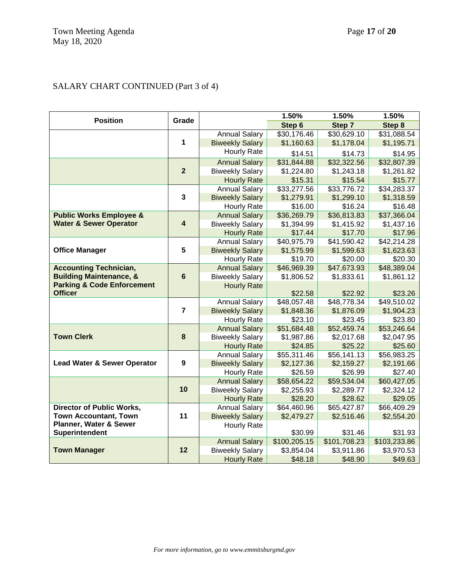# SALARY CHART CONTINUED (Part 3 of 4)

| <b>Position</b>                        | Grade                   |                                              | 1.50%                     | 1.50%                     | 1.50%                     |
|----------------------------------------|-------------------------|----------------------------------------------|---------------------------|---------------------------|---------------------------|
|                                        |                         |                                              | Step 6                    | Step 7                    | Step 8                    |
|                                        |                         | <b>Annual Salary</b>                         | \$30,176.46               | \$30,629.10               | \$31,088.54               |
|                                        | 1                       | <b>Biweekly Salary</b>                       | \$1,160.63                | \$1,178.04                | \$1,195.71                |
|                                        |                         | Hourly Rate                                  | \$14.51                   | \$14.73                   | \$14.95                   |
|                                        |                         | <b>Annual Salary</b>                         | \$31,844.88               | \$32,322.56               | \$32,807.39               |
|                                        | $\overline{2}$          | <b>Biweekly Salary</b>                       | \$1,224.80                | \$1,243.18                | \$1,261.82                |
|                                        |                         | <b>Hourly Rate</b>                           | \$15.31                   | \$15.54                   | \$15.77                   |
|                                        |                         | <b>Annual Salary</b>                         | \$33,277.56               | \$33,776.72               | \$34,283.37               |
|                                        | 3                       | <b>Biweekly Salary</b>                       | \$1,279.91                | \$1,299.10                | \$1,318.59                |
|                                        |                         | Hourly Rate                                  | \$16.00                   | \$16.24                   | \$16.48                   |
| <b>Public Works Employee &amp;</b>     |                         | <b>Annual Salary</b>                         | \$36,269.79               | \$36,813.83               | \$37,366.04               |
| <b>Water &amp; Sewer Operator</b>      | $\overline{\mathbf{4}}$ | <b>Biweekly Salary</b>                       | \$1,394.99                | \$1,415.92                | \$1,437.16                |
|                                        |                         | <b>Hourly Rate</b>                           | \$17.44                   | \$17.70                   | \$17.96                   |
|                                        |                         | <b>Annual Salary</b>                         | \$40,975.79               | \$41,590.42               | \$42,214.28               |
| <b>Office Manager</b>                  | $5\phantom{.0}$         | <b>Biweekly Salary</b>                       | \$1,575.99                | \$1,599.63                | \$1,623.63                |
|                                        |                         | Hourly Rate                                  | \$19.70                   | \$20.00                   | \$20.30                   |
| <b>Accounting Technician,</b>          |                         | <b>Annual Salary</b>                         | \$46,969.39               | \$47,673.93               | \$48,389.04               |
| <b>Building Maintenance, &amp;</b>     | $6\phantom{1}$          | <b>Biweekly Salary</b>                       | \$1,806.52                | \$1,833.61                | \$1,861.12                |
| <b>Parking &amp; Code Enforcement</b>  |                         | <b>Hourly Rate</b>                           |                           |                           |                           |
| <b>Officer</b>                         |                         |                                              | \$22.58                   | \$22.92                   | \$23.26                   |
|                                        | $\overline{7}$          | <b>Annual Salary</b>                         | \$48,057.48               | \$48,778.34               | \$49,510.02               |
|                                        |                         | <b>Biweekly Salary</b>                       | \$1,848.36                | \$1,876.09                | \$1,904.23                |
|                                        |                         | Hourly Rate                                  | \$23.10                   | \$23.45                   | \$23.80                   |
| <b>Town Clerk</b>                      | 8                       | <b>Annual Salary</b>                         | \$51,684.48<br>\$1,987.86 | \$52,459.74<br>\$2,017.68 | \$53,246.64<br>\$2,047.95 |
|                                        |                         | <b>Biweekly Salary</b><br><b>Hourly Rate</b> | \$24.85                   | \$25.22                   | \$25.60                   |
|                                        |                         | <b>Annual Salary</b>                         | \$55,311.46               | \$56,141.13               | \$56,983.25               |
| <b>Lead Water &amp; Sewer Operator</b> | $\boldsymbol{9}$        | <b>Biweekly Salary</b>                       | \$2,127.36                | \$2,159.27                | \$2,191.66                |
|                                        |                         | Hourly Rate                                  | \$26.59                   | \$26.99                   | \$27.40                   |
|                                        |                         | <b>Annual Salary</b>                         | \$58,654.22               | \$59,534.04               | \$60,427.05               |
|                                        | 10                      | <b>Biweekly Salary</b>                       | \$2,255.93                | \$2,289.77                | \$2,324.12                |
|                                        |                         | <b>Hourly Rate</b>                           | \$28.20                   | \$28.62                   | \$29.05                   |
| Director of Public Works,              |                         | <b>Annual Salary</b>                         | \$64,460.96               | \$65,427.87               | \$66,409.29               |
| <b>Town Accountant, Town</b>           | 11                      | <b>Biweekly Salary</b>                       | \$2,479.27                | \$2,516.46                | \$2,554.20                |
| Planner, Water & Sewer                 |                         | <b>Hourly Rate</b>                           |                           |                           |                           |
| Superintendent                         |                         |                                              | \$30.99                   | \$31.46                   | \$31.93                   |
|                                        |                         | <b>Annual Salary</b>                         | \$100,205.15              | \$101,708.23              | \$103,233.86              |
| <b>Town Manager</b>                    | 12                      | <b>Biweekly Salary</b>                       | \$3,854.04                | \$3,911.86                | \$3,970.53                |
|                                        |                         | <b>Hourly Rate</b>                           | \$48.18                   | \$48.90                   | \$49.63                   |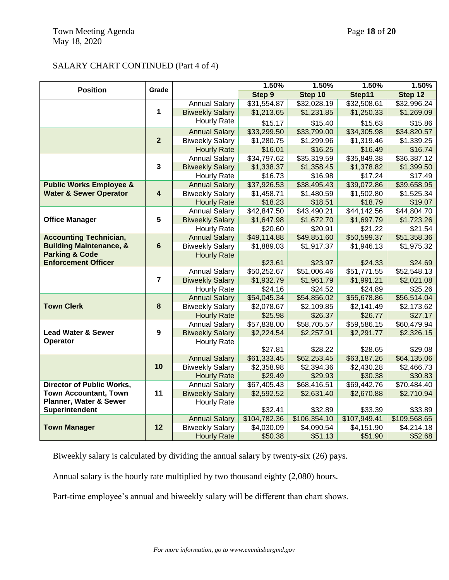### SALARY CHART CONTINUED (Part 4 of 4)

| <b>Position</b><br>Grade           |                         |                        | 1.50%        | 1.50%        | 1.50%        | 1.50%        |
|------------------------------------|-------------------------|------------------------|--------------|--------------|--------------|--------------|
|                                    |                         |                        | Step 9       | Step 10      | Step11       | Step 12      |
|                                    |                         | <b>Annual Salary</b>   | \$31,554.87  | \$32,028.19  | \$32,508.61  | \$32,996.24  |
|                                    | 1                       | <b>Biweekly Salary</b> | \$1,213.65   | \$1,231.85   | \$1,250.33   | \$1,269.09   |
|                                    |                         | Hourly Rate            | \$15.17      | \$15.40      | \$15.63      | \$15.86      |
|                                    |                         | <b>Annual Salary</b>   | \$33,299.50  | \$33,799.00  | \$34,305.98  | \$34,820.57  |
|                                    | $\overline{2}$          | <b>Biweekly Salary</b> | \$1,280.75   | \$1,299.96   | \$1,319.46   | \$1,339.25   |
|                                    |                         | <b>Hourly Rate</b>     | \$16.01      | \$16.25      | \$16.49      | \$16.74      |
|                                    |                         | <b>Annual Salary</b>   | \$34,797.62  | \$35,319.59  | \$35,849.38  | \$36,387.12  |
|                                    | $\overline{\mathbf{3}}$ | <b>Biweekly Salary</b> | \$1,338.37   | \$1,358.45   | \$1,378.82   | \$1,399.50   |
|                                    |                         | <b>Hourly Rate</b>     | \$16.73      | \$16.98      | \$17.24      | \$17.49      |
| <b>Public Works Employee &amp;</b> |                         | <b>Annual Salary</b>   | \$37,926.53  | \$38,495.43  | \$39,072.86  | \$39,658.95  |
| <b>Water &amp; Sewer Operator</b>  | $\overline{\mathbf{4}}$ | <b>Biweekly Salary</b> | \$1,458.71   | \$1,480.59   | \$1,502.80   | \$1,525.34   |
|                                    |                         | <b>Hourly Rate</b>     | \$18.23      | \$18.51      | \$18.79      | \$19.07      |
|                                    |                         | <b>Annual Salary</b>   | \$42,847.50  | \$43,490.21  | \$44,142.56  | \$44,804.70  |
| <b>Office Manager</b>              | 5                       | <b>Biweekly Salary</b> | \$1,647.98   | \$1,672.70   | \$1,697.79   | \$1,723.26   |
|                                    |                         | Hourly Rate            | \$20.60      | \$20.91      | \$21.22      | \$21.54      |
| <b>Accounting Technician,</b>      |                         | <b>Annual Salary</b>   | \$49,114.88  | \$49,851.60  | \$50,599.37  | \$51,358.36  |
| <b>Building Maintenance, &amp;</b> | $6\phantom{a}$          | <b>Biweekly Salary</b> | \$1,889.03   | \$1,917.37   | \$1,946.13   | \$1,975.32   |
| <b>Parking &amp; Code</b>          |                         | <b>Hourly Rate</b>     |              |              |              |              |
| <b>Enforcement Officer</b>         |                         |                        | \$23.61      | \$23.97      | \$24.33      | \$24.69      |
|                                    |                         | <b>Annual Salary</b>   | \$50,252.67  | \$51,006.46  | \$51,771.55  | \$52,548.13  |
|                                    | $\overline{7}$          | <b>Biweekly Salary</b> | \$1,932.79   | \$1,961.79   | \$1,991.21   | \$2,021.08   |
|                                    |                         | Hourly Rate            | \$24.16      | \$24.52      | \$24.89      | \$25.26      |
| <b>Town Clerk</b>                  | 8                       | <b>Annual Salary</b>   | \$54,045.34  | \$54,856.02  | \$55,678.86  | \$56,514.04  |
|                                    |                         | <b>Biweekly Salary</b> | \$2,078.67   | \$2,109.85   | \$2,141.49   | \$2,173.62   |
|                                    |                         | <b>Hourly Rate</b>     | \$25.98      | \$26.37      | \$26.77      | \$27.17      |
| <b>Lead Water &amp; Sewer</b>      | 9                       | <b>Annual Salary</b>   | \$57,838.00  | \$58,705.57  | \$59,586.15  | \$60,479.94  |
| Operator                           |                         | <b>Biweekly Salary</b> | \$2,224.54   | \$2,257.91   | \$2,291.77   | \$2,326.15   |
|                                    |                         | Hourly Rate            | \$27.81      | \$28.22      | \$28.65      | \$29.08      |
|                                    |                         | <b>Annual Salary</b>   | \$61,333.45  | \$62,253.45  | \$63,187.26  | \$64,135.06  |
|                                    | 10                      | <b>Biweekly Salary</b> | \$2,358.98   | \$2,394.36   | \$2,430.28   | \$2,466.73   |
|                                    |                         | <b>Hourly Rate</b>     | \$29.49      | \$29.93      | \$30.38      | \$30.83      |
| <b>Director of Public Works,</b>   |                         | <b>Annual Salary</b>   | \$67,405.43  | \$68,416.51  | \$69,442.76  | \$70,484.40  |
| <b>Town Accountant, Town</b>       | 11                      | <b>Biweekly Salary</b> | \$2,592.52   | \$2,631.40   | \$2,670.88   | \$2,710.94   |
| Planner, Water & Sewer             |                         | Hourly Rate            |              |              |              |              |
| Superintendent                     |                         |                        | \$32.41      | \$32.89      | \$33.39      | \$33.89      |
|                                    |                         | <b>Annual Salary</b>   | \$104,782.36 | \$106,354.10 | \$107,949.41 | \$109,568.65 |
| <b>Town Manager</b>                | 12                      | <b>Biweekly Salary</b> | \$4,030.09   | \$4,090.54   | \$4,151.90   | \$4,214.18   |
|                                    |                         | <b>Hourly Rate</b>     | \$50.38      | \$51.13      | \$51.90      | \$52.68      |

Biweekly salary is calculated by dividing the annual salary by twenty-six (26) pays.

Annual salary is the hourly rate multiplied by two thousand eighty (2,080) hours.

Part-time employee's annual and biweekly salary will be different than chart shows.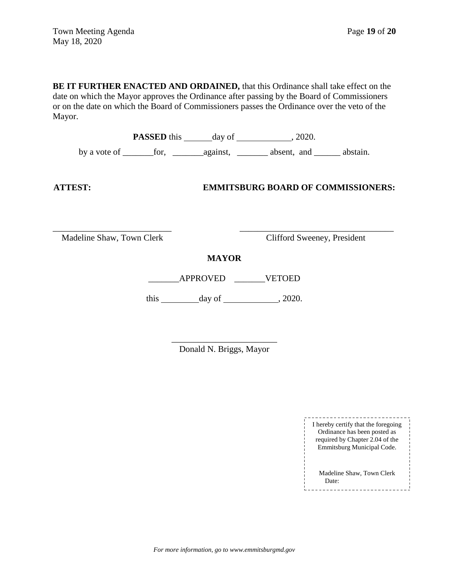**BE IT FURTHER ENACTED AND ORDAINED,** that this Ordinance shall take effect on the date on which the Mayor approves the Ordinance after passing by the Board of Commissioners or on the date on which the Board of Commissioners passes the Ordinance over the veto of the Mayor.

**PASSED** this day of , 2020. by a vote of \_\_\_\_\_\_\_for, \_\_\_\_\_\_\_against, \_\_\_\_\_\_\_ absent, and \_\_\_\_\_\_ abstain.

### **ATTEST: EMMITSBURG BOARD OF COMMISSIONERS:**

Madeline Shaw, Town Clerk Clifford Sweeney, President

**MAYOR**

\_\_\_\_\_\_\_\_\_\_\_\_\_\_\_\_\_\_\_\_\_\_\_\_\_\_\_ \_\_\_\_\_\_\_\_\_\_\_\_\_\_\_\_\_\_\_\_\_\_\_\_\_\_\_\_\_\_\_\_\_\_\_

\_\_\_\_\_\_\_APPROVED \_\_\_\_\_\_\_VETOED

this day of , 2020.

\_\_\_\_\_\_\_\_\_\_\_\_\_\_\_\_\_\_\_\_\_\_\_\_ Donald N. Briggs, Mayor

> I hereby certify that the foregoing Ordinance has been posted as required by Chapter 2.04 of the Emmitsburg Municipal Code. Madeline Shaw, Town Clerk Date:----------------------------